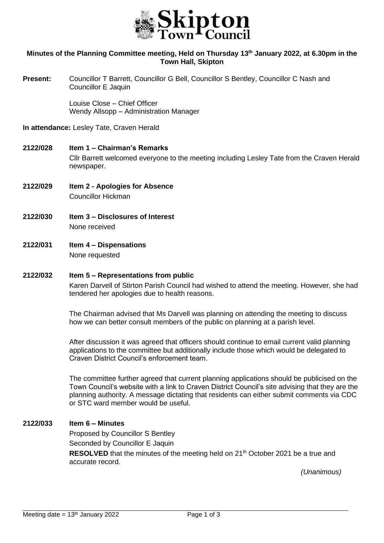

## **Minutes of the Planning Committee meeting, Held on Thursday 13th January 2022, at 6.30pm in the Town Hall, Skipton**

**Present:** Councillor T Barrett, Councillor G Bell, Councillor S Bentley, Councillor C Nash and Councillor E Jaquin

> Louise Close – Chief Officer Wendy Allsopp – Administration Manager

**In attendance:** Lesley Tate, Craven Herald

#### **2122/028 Item 1 – Chairman's Remarks**

Cllr Barrett welcomed everyone to the meeting including Lesley Tate from the Craven Herald newspaper.

- **2122/029 Item 2 - Apologies for Absence** Councillor Hickman
- **2122/030 Item 3 – Disclosures of Interest** None received
- **2122/031 Item 4 – Dispensations** None requested

### **2122/032 Item 5 – Representations from public**

Karen Darvell of Stirton Parish Council had wished to attend the meeting. However, she had tendered her apologies due to health reasons.

The Chairman advised that Ms Darvell was planning on attending the meeting to discuss how we can better consult members of the public on planning at a parish level.

After discussion it was agreed that officers should continue to email current valid planning applications to the committee but additionally include those which would be delegated to Craven District Council's enforcement team.

The committee further agreed that current planning applications should be publicised on the Town Council's website with a link to Craven District Council's site advising that they are the planning authority. A message dictating that residents can either submit comments via CDC or STC ward member would be useful.

## **2122/033 Item 6 – Minutes**

Proposed by Councillor S Bentley Seconded by Councillor E Jaquin **RESOLVED** that the minutes of the meeting held on 21<sup>th</sup> October 2021 be a true and accurate record.

*(Unanimous)* 

j.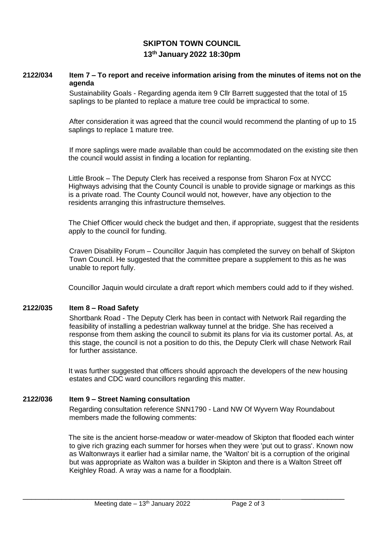## **SKIPTON TOWN COUNCIL 13th January 2022 18:30pm**

## **2122/034 Item 7 – To report and receive information arising from the minutes of items not on the agenda**

Sustainability Goals - Regarding agenda item 9 Cllr Barrett suggested that the total of 15 saplings to be planted to replace a mature tree could be impractical to some.

After consideration it was agreed that the council would recommend the planting of up to 15 saplings to replace 1 mature tree.

If more saplings were made available than could be accommodated on the existing site then the council would assist in finding a location for replanting.

Little Brook – The Deputy Clerk has received a response from Sharon Fox at NYCC Highways advising that the County Council is unable to provide signage or markings as this is a private road. The County Council would not, however, have any objection to the residents arranging this infrastructure themselves.

The Chief Officer would check the budget and then, if appropriate, suggest that the residents apply to the council for funding.

Craven Disability Forum – Councillor Jaquin has completed the survey on behalf of Skipton Town Council. He suggested that the committee prepare a supplement to this as he was unable to report fully.

Councillor Jaquin would circulate a draft report which members could add to if they wished.

#### **2122/035 Item 8 – Road Safety**

Shortbank Road - The Deputy Clerk has been in contact with Network Rail regarding the feasibility of installing a pedestrian walkway tunnel at the bridge. She has received a response from them asking the council to submit its plans for via its customer portal. As, at this stage, the council is not a position to do this, the Deputy Clerk will chase Network Rail for further assistance.

It was further suggested that officers should approach the developers of the new housing estates and CDC ward councillors regarding this matter.

## **2122/036 Item 9 – Street Naming consultation**

Regarding consultation reference SNN1790 - Land NW Of Wyvern Way Roundabout members made the following comments:

The site is the ancient horse-meadow or water-meadow of Skipton that flooded each winter to give rich grazing each summer for horses when they were 'put out to grass'. Known now as Waltonwrays it earlier had a similar name, the 'Walton' bit is a corruption of the original but was appropriate as Walton was a builder in Skipton and there is a Walton Street off Keighley Road. A wray was a name for a floodplain.